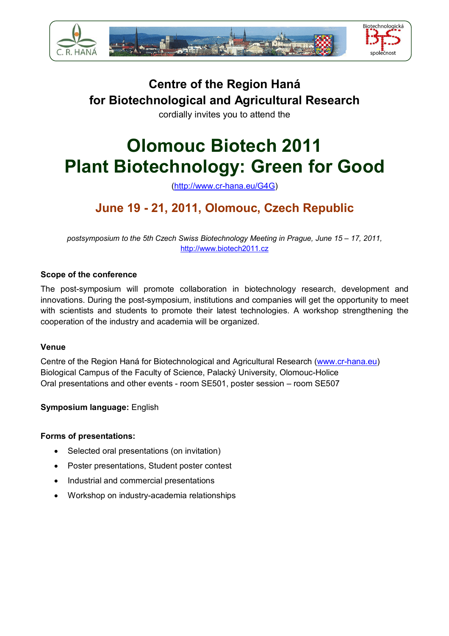

# **Centre of the Region Haná for Biotechnological and Agricultural Research**

cordially invites you to attend the

# **Olomouc Biotech 2011 Plant Biotechnology: Green for Good**

(http://www.cr-hana.eu/G4G)

# **June 19 - 21, 2011, Olomouc, Czech Republic**

*postsymposium to the 5th Czech Swiss Biotechnology Meeting in Prague, June 15 – 17, 2011,*  http://www.biotech2011.cz

### **Scope of the conference**

The post-symposium will promote collaboration in biotechnology research, development and innovations. During the post-symposium, institutions and companies will get the opportunity to meet with scientists and students to promote their latest technologies. A workshop strengthening the cooperation of the industry and academia will be organized.

#### **Venue**

Centre of the Region Haná for Biotechnological and Agricultural Research (www.cr-hana.eu) Biological Campus of the Faculty of Science, Palacký University, Olomouc-Holice Oral presentations and other events - room SE501, poster session – room SE507

### **Symposium language:** English

#### **Forms of presentations:**

- Selected oral presentations (on invitation)
- Poster presentations, Student poster contest
- Industrial and commercial presentations
- Workshop on industry-academia relationships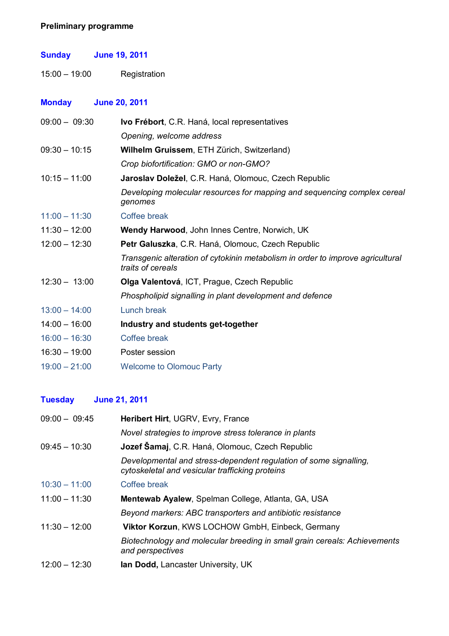### **Preliminary programme**

### **Sunday June 19, 2011**

15:00 – 19:00 Registration

### **Monday June 20, 2011**

| $09:00 - 09:30$ | Ivo Frébort, C.R. Haná, local representatives                                                       |
|-----------------|-----------------------------------------------------------------------------------------------------|
|                 | Opening, welcome address                                                                            |
| $09:30 - 10:15$ | Wilhelm Gruissem, ETH Zürich, Switzerland)                                                          |
|                 | Crop biofortification: GMO or non-GMO?                                                              |
| $10:15 - 11:00$ | Jaroslav Doležel, C.R. Haná, Olomouc, Czech Republic                                                |
|                 | Developing molecular resources for mapping and sequencing complex cereal<br>genomes                 |
| $11:00 - 11:30$ | Coffee break                                                                                        |
| $11:30 - 12:00$ | <b>Wendy Harwood, John Innes Centre, Norwich, UK</b>                                                |
| $12:00 - 12:30$ | Petr Galuszka, C.R. Haná, Olomouc, Czech Republic                                                   |
|                 | Transgenic alteration of cytokinin metabolism in order to improve agricultural<br>traits of cereals |
| $12:30 - 13:00$ | Olga Valentová, ICT, Prague, Czech Republic                                                         |
|                 | Phospholipid signalling in plant development and defence                                            |
| $13:00 - 14:00$ | Lunch break                                                                                         |
| $14:00 - 16:00$ | Industry and students get-together                                                                  |
| $16:00 - 16:30$ | Coffee break                                                                                        |
| $16:30 - 19:00$ | Poster session                                                                                      |
| $19:00 - 21:00$ | <b>Welcome to Olomouc Party</b>                                                                     |
|                 |                                                                                                     |

### **Tuesday June 21, 2011**

| $09:00 - 09:45$ | Heribert Hirt, UGRV, Evry, France                                                                                    |
|-----------------|----------------------------------------------------------------------------------------------------------------------|
|                 | Novel strategies to improve stress tolerance in plants                                                               |
| $09:45 - 10:30$ | Jozef Šamaj, C.R. Haná, Olomouc, Czech Republic                                                                      |
|                 | Developmental and stress-dependent regulation of some signalling,<br>cytoskeletal and vesicular trafficking proteins |
| $10:30 - 11:00$ | Coffee break                                                                                                         |
| $11:00 - 11:30$ | Mentewab Ayalew, Spelman College, Atlanta, GA, USA                                                                   |
|                 | Beyond markers: ABC transporters and antibiotic resistance                                                           |
| $11:30 - 12:00$ | <b>Viktor Korzun, KWS LOCHOW GmbH, Einbeck, Germany</b>                                                              |
|                 | Biotechnology and molecular breeding in small grain cereals: Achievements<br>and perspectives                        |
| $12:00 - 12:30$ | <b>Ian Dodd, Lancaster University, UK</b>                                                                            |